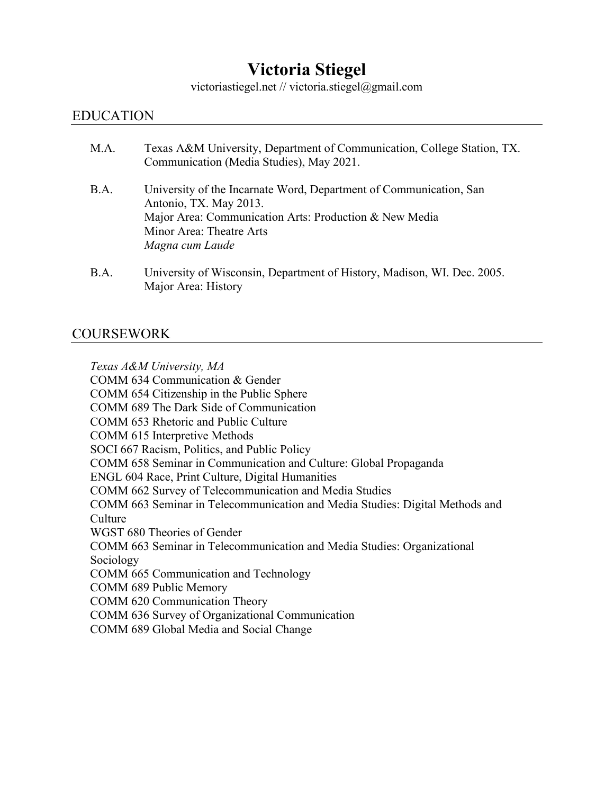# **Victoria Stiegel**

victoriastiegel.net // victoria.stiegel@gmail.com

#### EDUCATION

| M.A. | Texas A&M University, Department of Communication, College Station, TX.<br>Communication (Media Studies), May 2021.                                                                                   |
|------|-------------------------------------------------------------------------------------------------------------------------------------------------------------------------------------------------------|
| B.A. | University of the Incarnate Word, Department of Communication, San<br>Antonio, TX. May 2013.<br>Major Area: Communication Arts: Production & New Media<br>Minor Area: Theatre Arts<br>Magna cum Laude |
| R A  | University of Wisconsin, Department of History, Madison, WI, Dec. 2005                                                                                                                                |

bt Wisconsin, Department of History, Madison, WI. Dec. 2005. Major Area: History

### COURSEWORK

*Texas A&M University, MA* COMM 634 Communication & Gender COMM 654 Citizenship in the Public Sphere COMM 689 The Dark Side of Communication COMM 653 Rhetoric and Public Culture COMM 615 Interpretive Methods SOCI 667 Racism, Politics, and Public Policy COMM 658 Seminar in Communication and Culture: Global Propaganda ENGL 604 Race, Print Culture, Digital Humanities COMM 662 Survey of Telecommunication and Media Studies COMM 663 Seminar in Telecommunication and Media Studies: Digital Methods and **Culture** WGST 680 Theories of Gender COMM 663 Seminar in Telecommunication and Media Studies: Organizational Sociology COMM 665 Communication and Technology COMM 689 Public Memory COMM 620 Communication Theory COMM 636 Survey of Organizational Communication COMM 689 Global Media and Social Change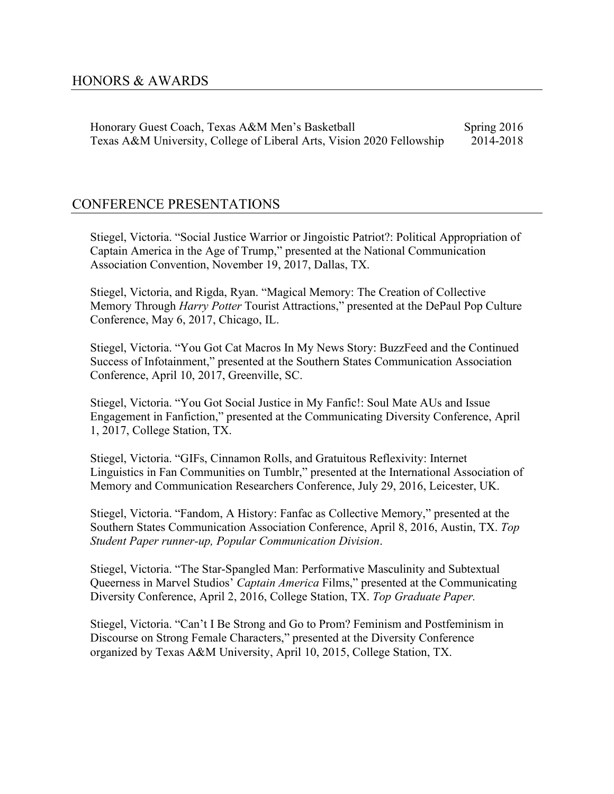Honorary Guest Coach, Texas A&M Men's Basketball Spring 2016 Texas A&M University, College of Liberal Arts, Vision 2020 Fellowship 2014-2018

### CONFERENCE PRESENTATIONS

Stiegel, Victoria. "Social Justice Warrior or Jingoistic Patriot?: Political Appropriation of Captain America in the Age of Trump," presented at the National Communication Association Convention, November 19, 2017, Dallas, TX.

Stiegel, Victoria, and Rigda, Ryan. "Magical Memory: The Creation of Collective Memory Through *Harry Potter* Tourist Attractions," presented at the DePaul Pop Culture Conference, May 6, 2017, Chicago, IL.

Stiegel, Victoria. "You Got Cat Macros In My News Story: BuzzFeed and the Continued Success of Infotainment," presented at the Southern States Communication Association Conference, April 10, 2017, Greenville, SC.

Stiegel, Victoria. "You Got Social Justice in My Fanfic!: Soul Mate AUs and Issue Engagement in Fanfiction," presented at the Communicating Diversity Conference, April 1, 2017, College Station, TX.

Stiegel, Victoria. "GIFs, Cinnamon Rolls, and Gratuitous Reflexivity: Internet Linguistics in Fan Communities on Tumblr," presented at the International Association of Memory and Communication Researchers Conference, July 29, 2016, Leicester, UK.

Stiegel, Victoria. "Fandom, A History: Fanfac as Collective Memory," presented at the Southern States Communication Association Conference, April 8, 2016, Austin, TX. *Top Student Paper runner-up, Popular Communication Division*.

Stiegel, Victoria. "The Star-Spangled Man: Performative Masculinity and Subtextual Queerness in Marvel Studios' *Captain America* Films," presented at the Communicating Diversity Conference, April 2, 2016, College Station, TX. *Top Graduate Paper.*

Stiegel, Victoria. "Can't I Be Strong and Go to Prom? Feminism and Postfeminism in Discourse on Strong Female Characters," presented at the Diversity Conference organized by Texas A&M University, April 10, 2015, College Station, TX.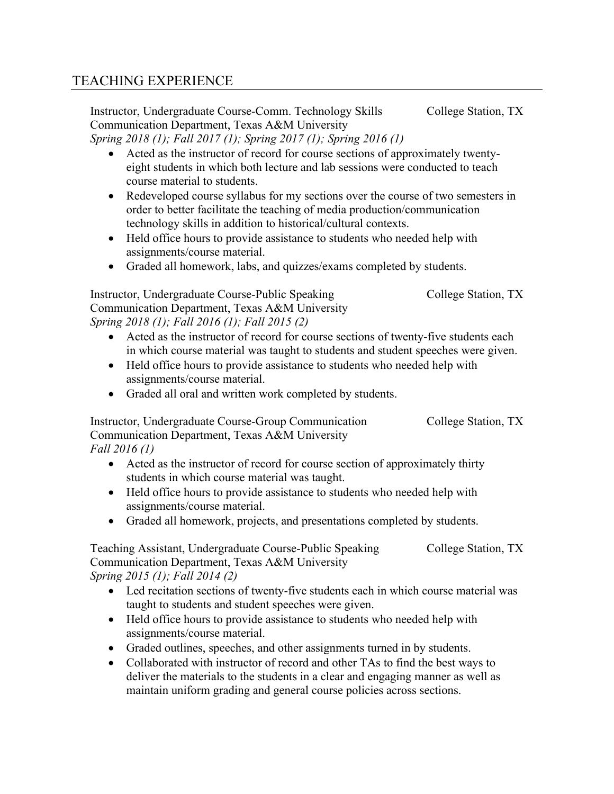## TEACHING EXPERIENCE

Instructor, Undergraduate Course-Comm. Technology Skills College Station, TX Communication Department, Texas A&M University *Spring 2018 (1); Fall 2017 (1); Spring 2017 (1); Spring 2016 (1)*

• Acted as the instructor of record for course sections of approximately twentyeight students in which both lecture and lab sessions were conducted to teach course material to students.

- Redeveloped course syllabus for my sections over the course of two semesters in order to better facilitate the teaching of media production/communication technology skills in addition to historical/cultural contexts.
- Held office hours to provide assistance to students who needed help with assignments/course material.
- Graded all homework, labs, and quizzes/exams completed by students.

Instructor, Undergraduate Course-Public Speaking College Station, TX Communication Department, Texas A&M University *Spring 2018 (1); Fall 2016 (1); Fall 2015 (2)*

- Acted as the instructor of record for course sections of twenty-five students each in which course material was taught to students and student speeches were given.
- Held office hours to provide assistance to students who needed help with assignments/course material.
- Graded all oral and written work completed by students.

Instructor, Undergraduate Course-Group Communication College Station, TX Communication Department, Texas A&M University *Fall 2016 (1)*

- Acted as the instructor of record for course section of approximately thirty students in which course material was taught.
- Held office hours to provide assistance to students who needed help with assignments/course material.
- Graded all homework, projects, and presentations completed by students.

Teaching Assistant, Undergraduate Course-Public Speaking College Station, TX Communication Department, Texas A&M University *Spring 2015 (1); Fall 2014 (2)*

- Led recitation sections of twenty-five students each in which course material was taught to students and student speeches were given.
- Held office hours to provide assistance to students who needed help with assignments/course material.
- Graded outlines, speeches, and other assignments turned in by students.
- Collaborated with instructor of record and other TAs to find the best ways to deliver the materials to the students in a clear and engaging manner as well as maintain uniform grading and general course policies across sections.